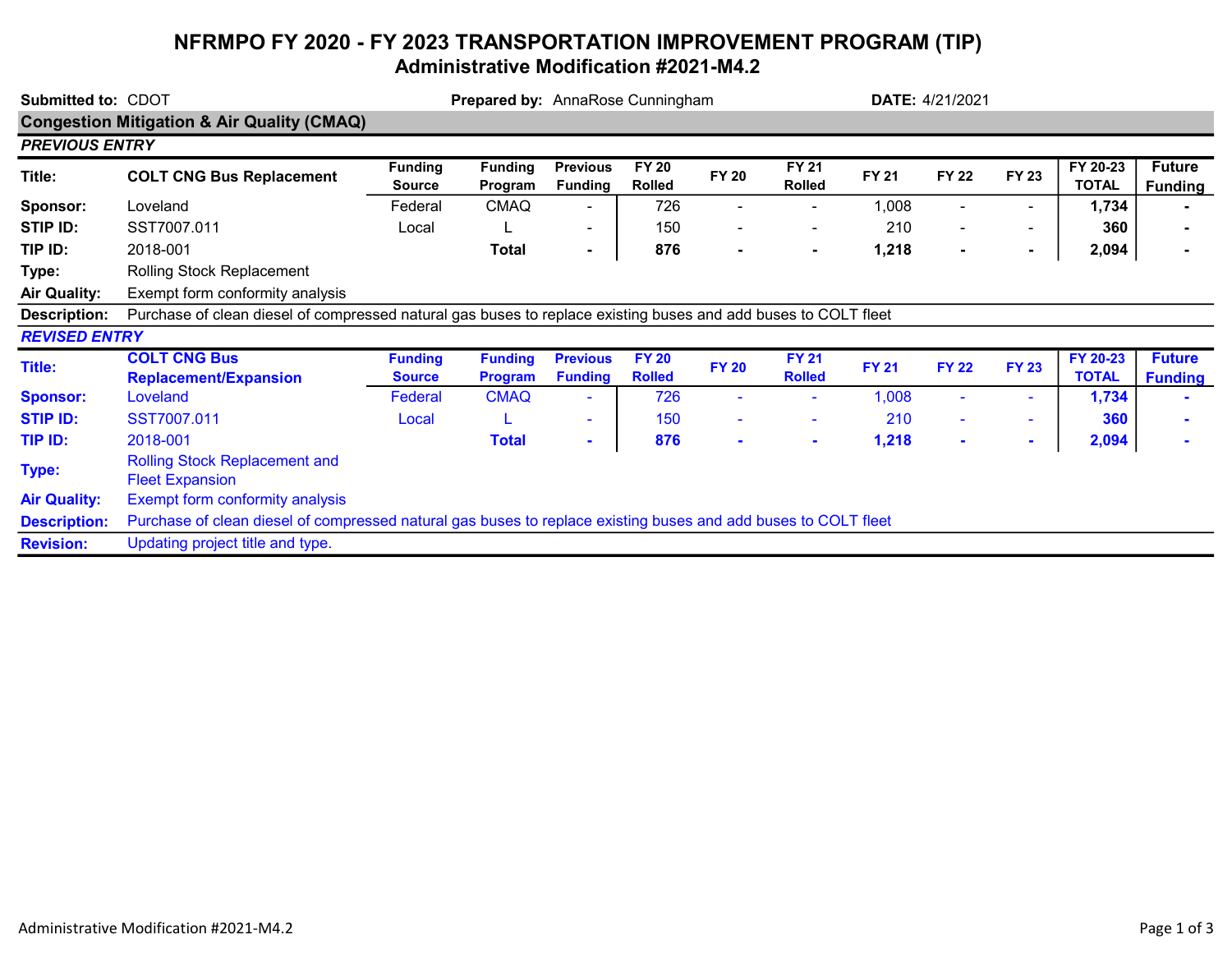## NFRMPO FY 2020 - FY 2023 TRANSPORTATION IMPROVEMENT PROGRAM (TIP) Administrative Modification #2021-M4.2

| Submitted to: CDOT                                    |                                                                                                                | <b>Prepared by:</b> AnnaRose Cunningham |                                  |                                   |                               |                |                               | <b>DATE: 4/21/2021</b> |                |                          |                          |                                 |
|-------------------------------------------------------|----------------------------------------------------------------------------------------------------------------|-----------------------------------------|----------------------------------|-----------------------------------|-------------------------------|----------------|-------------------------------|------------------------|----------------|--------------------------|--------------------------|---------------------------------|
| <b>Congestion Mitigation &amp; Air Quality (CMAQ)</b> |                                                                                                                |                                         |                                  |                                   |                               |                |                               |                        |                |                          |                          |                                 |
| <b>PREVIOUS ENTRY</b>                                 |                                                                                                                |                                         |                                  |                                   |                               |                |                               |                        |                |                          |                          |                                 |
| Title:                                                | <b>COLT CNG Bus Replacement</b>                                                                                | <b>Funding</b><br><b>Source</b>         | <b>Funding</b><br>Program        | <b>Previous</b><br><b>Funding</b> | <b>FY 20</b><br><b>Rolled</b> | <b>FY 20</b>   | <b>FY 21</b><br><b>Rolled</b> | <b>FY 21</b>           | <b>FY 22</b>   | <b>FY 23</b>             | FY 20-23<br><b>TOTAL</b> | <b>Future</b><br><b>Funding</b> |
| Sponsor:                                              | Loveland                                                                                                       | Federal                                 | <b>CMAQ</b>                      |                                   | 726                           |                |                               | 1,008                  |                |                          | 1,734                    |                                 |
| STIP ID:                                              | SST7007.011                                                                                                    | Local                                   |                                  | $\overline{\phantom{a}}$          | 150                           |                |                               | 210                    |                | $\overline{\phantom{0}}$ | 360                      |                                 |
| TIP ID:                                               | 2018-001                                                                                                       |                                         | <b>Total</b>                     | $\blacksquare$                    | 876                           | $\blacksquare$ | $\blacksquare$                | 1,218                  | $\blacksquare$ | $\blacksquare$           | 2,094                    |                                 |
| Type:                                                 | Rolling Stock Replacement                                                                                      |                                         |                                  |                                   |                               |                |                               |                        |                |                          |                          |                                 |
| <b>Air Quality:</b>                                   | Exempt form conformity analysis                                                                                |                                         |                                  |                                   |                               |                |                               |                        |                |                          |                          |                                 |
| <b>Description:</b>                                   | Purchase of clean diesel of compressed natural gas buses to replace existing buses and add buses to COLT fleet |                                         |                                  |                                   |                               |                |                               |                        |                |                          |                          |                                 |
| <b>REVISED ENTRY</b>                                  |                                                                                                                |                                         |                                  |                                   |                               |                |                               |                        |                |                          |                          |                                 |
| <b>Title:</b>                                         | <b>COLT CNG Bus</b><br><b>Replacement/Expansion</b>                                                            | <b>Funding</b><br><b>Source</b>         | <b>Funding</b><br><b>Program</b> | <b>Previous</b><br><b>Funding</b> | <b>FY 20</b><br><b>Rolled</b> | <b>FY 20</b>   | <b>FY 21</b><br><b>Rolled</b> | <b>FY 21</b>           | <b>FY 22</b>   | <b>FY 23</b>             | FY 20-23<br><b>TOTAL</b> | <b>Future</b><br><b>Funding</b> |
| <b>Sponsor:</b>                                       | Loveland                                                                                                       | Federal                                 | <b>CMAQ</b>                      | ٠                                 | 726                           |                |                               | 1,008                  |                | ٠                        | 1,734                    |                                 |
| <b>STIP ID:</b>                                       | SST7007.011                                                                                                    | Local                                   |                                  | $\sim$                            | 150                           | ۰              |                               | 210                    |                |                          | 360                      |                                 |
| TIP ID:                                               | 2018-001                                                                                                       |                                         | <b>Total</b>                     | $\sim$                            | 876                           | $\sim$         | $\sim$                        | 1,218                  |                | $\blacksquare$           | 2,094                    |                                 |
| Type:                                                 | <b>Rolling Stock Replacement and</b><br><b>Fleet Expansion</b>                                                 |                                         |                                  |                                   |                               |                |                               |                        |                |                          |                          |                                 |
| <b>Air Quality:</b>                                   | Exempt form conformity analysis                                                                                |                                         |                                  |                                   |                               |                |                               |                        |                |                          |                          |                                 |
| <b>Description:</b>                                   | Purchase of clean diesel of compressed natural gas buses to replace existing buses and add buses to COLT fleet |                                         |                                  |                                   |                               |                |                               |                        |                |                          |                          |                                 |
| <b>Revision:</b>                                      | Updating project title and type.                                                                               |                                         |                                  |                                   |                               |                |                               |                        |                |                          |                          |                                 |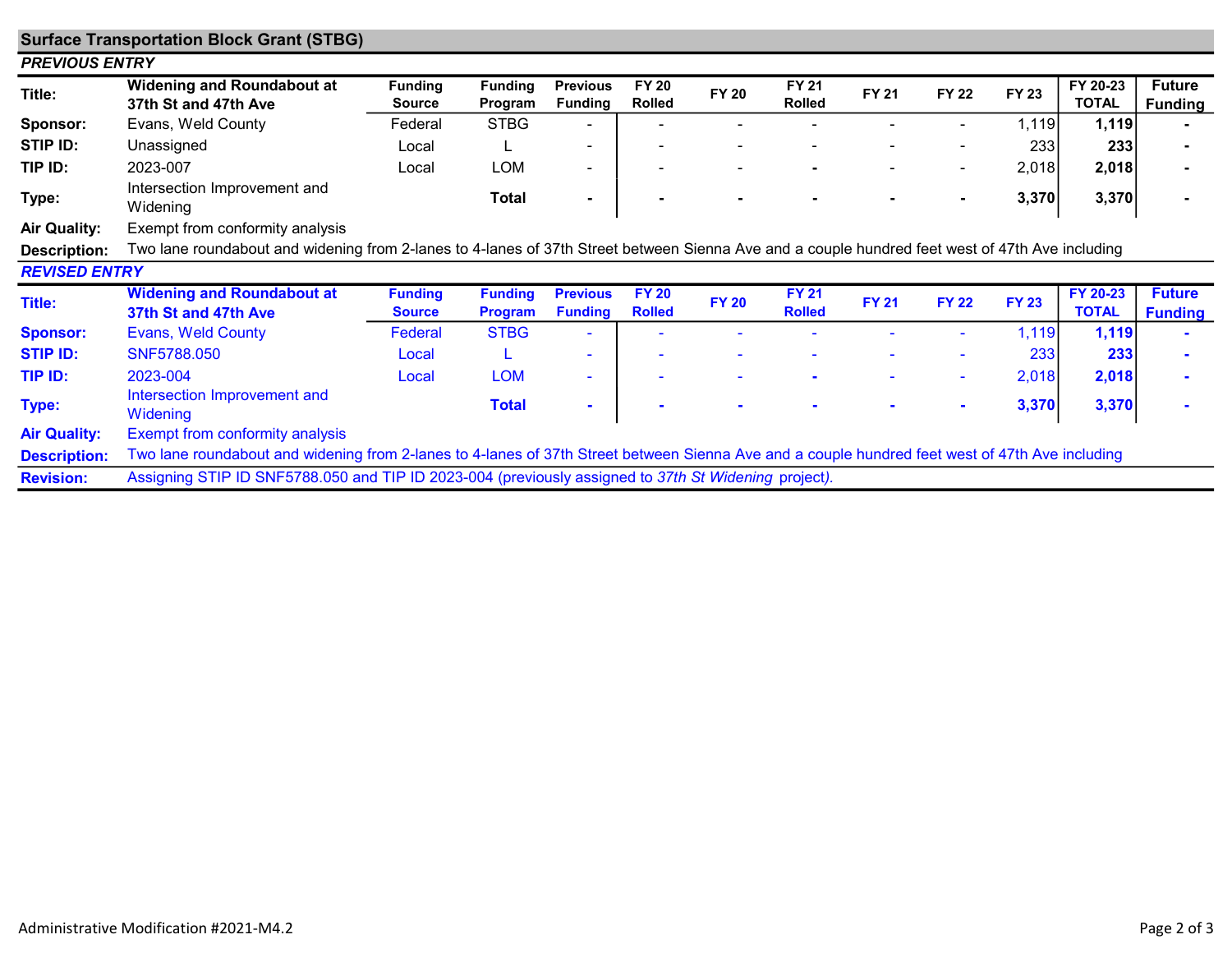| <b>Surface Transportation Block Grant (STBG)</b> |                                                                                                                                                 |                                 |                                  |                                   |                               |              |                               |              |              |              |                          |                                 |
|--------------------------------------------------|-------------------------------------------------------------------------------------------------------------------------------------------------|---------------------------------|----------------------------------|-----------------------------------|-------------------------------|--------------|-------------------------------|--------------|--------------|--------------|--------------------------|---------------------------------|
| <b>PREVIOUS ENTRY</b>                            |                                                                                                                                                 |                                 |                                  |                                   |                               |              |                               |              |              |              |                          |                                 |
| Title:                                           | <b>Widening and Roundabout at</b><br>37th St and 47th Ave                                                                                       | <b>Funding</b><br>Source        | <b>Funding</b><br>Program        | <b>Previous</b><br><b>Funding</b> | <b>FY 20</b><br><b>Rolled</b> | <b>FY 20</b> | <b>FY 21</b><br><b>Rolled</b> | <b>FY 21</b> | <b>FY 22</b> | <b>FY 23</b> | FY 20-23<br><b>TOTAL</b> | <b>Future</b><br><b>Funding</b> |
| Sponsor:                                         | Evans, Weld County                                                                                                                              | Federal                         | <b>STBG</b>                      |                                   |                               |              |                               |              |              | 1,119        | 1,119                    |                                 |
| STIP ID:                                         | Unassigned                                                                                                                                      | Local                           |                                  | $\overline{\phantom{a}}$          |                               |              |                               |              |              | 233          | 233                      |                                 |
| TIP ID:                                          | 2023-007                                                                                                                                        | Local                           | <b>LOM</b>                       | $\overline{\phantom{a}}$          |                               |              |                               |              |              | 2,018        | 2,018                    |                                 |
| Type:                                            | Intersection Improvement and<br>Widening                                                                                                        |                                 | <b>Total</b>                     | $\blacksquare$                    |                               |              |                               |              |              | 3,370        | 3,370                    |                                 |
| <b>Air Quality:</b>                              | Exempt from conformity analysis                                                                                                                 |                                 |                                  |                                   |                               |              |                               |              |              |              |                          |                                 |
| Description:                                     | Two lane roundabout and widening from 2-lanes to 4-lanes of 37th Street between Sienna Ave and a couple hundred feet west of 47th Ave including |                                 |                                  |                                   |                               |              |                               |              |              |              |                          |                                 |
| <b>REVISED ENTRY</b>                             |                                                                                                                                                 |                                 |                                  |                                   |                               |              |                               |              |              |              |                          |                                 |
| <b>Title:</b>                                    | <b>Widening and Roundabout at</b><br>37th St and 47th Ave                                                                                       | <b>Funding</b><br><b>Source</b> | <b>Funding</b><br><b>Program</b> | <b>Previous</b><br><b>Funding</b> | <b>FY 20</b><br><b>Rolled</b> | <b>FY 20</b> | <b>FY 21</b><br><b>Rolled</b> | <b>FY 21</b> | <b>FY 22</b> | <b>FY 23</b> | FY 20-23<br><b>TOTAL</b> | <b>Future</b><br><b>Funding</b> |
| <b>Sponsor:</b>                                  | <b>Evans, Weld County</b>                                                                                                                       | Federal                         | <b>STBG</b>                      |                                   |                               |              |                               |              |              | 1,119        | 1,119                    |                                 |
| <b>STIP ID:</b>                                  | SNF5788.050                                                                                                                                     | Local                           | L                                | $\sim$                            |                               |              |                               |              |              | 233          | 233                      |                                 |
| TIP ID:                                          | 2023-004                                                                                                                                        | Local                           | <b>LOM</b>                       | $\sim$                            |                               |              |                               |              |              | 2,018        | 2,018                    |                                 |
| Type:                                            | Intersection Improvement and<br>Widening                                                                                                        |                                 | <b>Total</b>                     | $\blacksquare$                    |                               |              |                               |              |              | 3,370        | 3,370                    |                                 |
| <b>Air Quality:</b>                              | Exempt from conformity analysis                                                                                                                 |                                 |                                  |                                   |                               |              |                               |              |              |              |                          |                                 |
| <b>Description:</b>                              | Two lane roundabout and widening from 2-lanes to 4-lanes of 37th Street between Sienna Ave and a couple hundred feet west of 47th Ave including |                                 |                                  |                                   |                               |              |                               |              |              |              |                          |                                 |
| <b>Revision:</b>                                 | Assigning STIP ID SNF5788.050 and TIP ID 2023-004 (previously assigned to 37th St Widening project).                                            |                                 |                                  |                                   |                               |              |                               |              |              |              |                          |                                 |